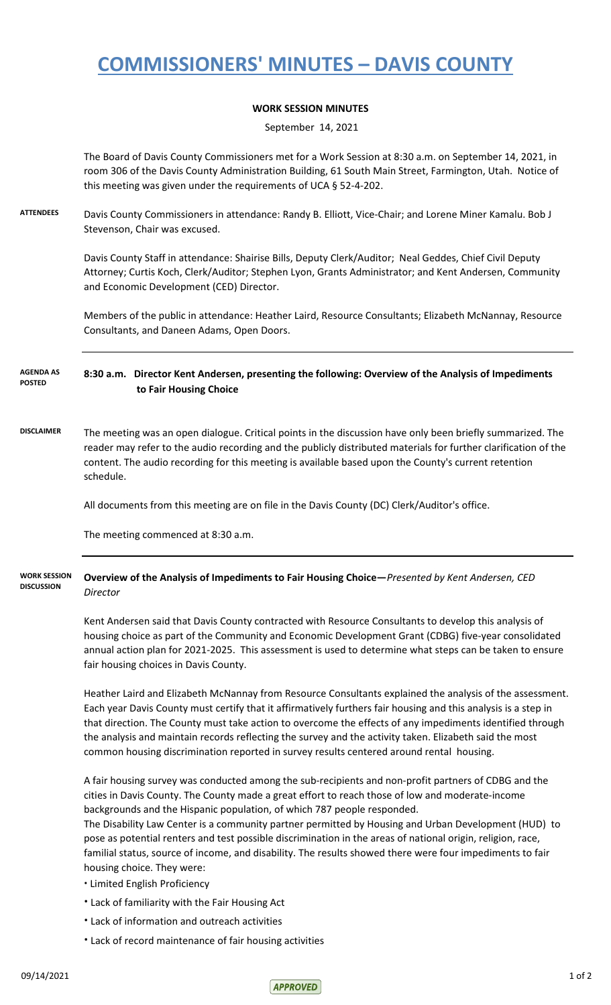## **COMMISSIONERS' MINUTES – DAVIS COUNTY**

## **WORK SESSION MINUTES**

September 14, 2021

The Board of Davis County Commissioners met for a Work Session at 8:30 a.m. on September 14, 2021, in room 306 of the Davis County Administration Building, 61 South Main Street, Farmington, Utah. Notice of this meeting was given under the requirements of UCA § 52-4-202.

**ATTENDEES** Davis County Commissioners in attendance: Randy B. Elliott, Vice-Chair; and Lorene Miner Kamalu. Bob J Stevenson, Chair was excused.

> Davis County Staff in attendance: Shairise Bills, Deputy Clerk/Auditor; Neal Geddes, Chief Civil Deputy Attorney; Curtis Koch, Clerk/Auditor; Stephen Lyon, Grants Administrator; and Kent Andersen, Community and Economic Development (CED) Director.

> Members of the public in attendance: Heather Laird, Resource Consultants; Elizabeth McNannay, Resource Consultants, and Daneen Adams, Open Doors.

**8:30 a.m. Director Kent Andersen, presenting the following: Overview of the Analysis of Impediments to Fair Housing Choice AGENDA AS POSTED**

**DISCLAIMER** The meeting was an open dialogue. Critical points in the discussion have only been briefly summarized. The reader may refer to the audio recording and the publicly distributed materials for further clarification of the content. The audio recording for this meeting is available based upon the County's current retention schedule.

All documents from this meeting are on file in the Davis County (DC) Clerk/Auditor's office.

The meeting commenced at 8:30 a.m.

**Overview of the Analysis of Impediments to Fair Housing Choice—***Presented by Kent Andersen, CED Director* **WORK SESSION DISCUSSION**

> Kent Andersen said that Davis County contracted with Resource Consultants to develop this analysis of housing choice as part of the Community and Economic Development Grant (CDBG) five-year consolidated annual action plan for 2021-2025. This assessment is used to determine what steps can be taken to ensure fair housing choices in Davis County.

Heather Laird and Elizabeth McNannay from Resource Consultants explained the analysis of the assessment. Each year Davis County must certify that it affirmatively furthers fair housing and this analysis is a step in that direction. The County must take action to overcome the effects of any impediments identified through the analysis and maintain records reflecting the survey and the activity taken. Elizabeth said the most common housing discrimination reported in survey results centered around rental housing.

A fair housing survey was conducted among the sub-recipients and non-profit partners of CDBG and the cities in Davis County. The County made a great effort to reach those of low and moderate-income backgrounds and the Hispanic population, of which 787 people responded.

The Disability Law Center is a community partner permitted by Housing and Urban Development (HUD) to pose as potential renters and test possible discrimination in the areas of national origin, religion, race, familial status, source of income, and disability. The results showed there were four impediments to fair housing choice. They were:

- **∙** Limited English Proficiency
- **∙** Lack of familiarity with the Fair Housing Act
- **∙** Lack of information and outreach activities
- **∙** Lack of record maintenance of fair housing activities